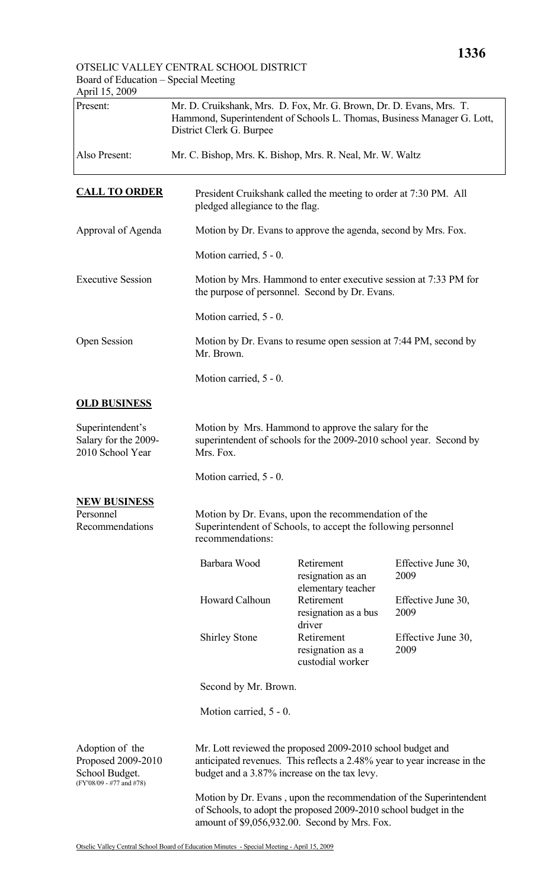## OTSELIC VALLEY CENTRAL SCHOOL DISTRICT Board of Education – Special Meeting

| April 15, 2009                                                                      |                                                                                                                                                                                        |                                                                                                                            |                            |  |
|-------------------------------------------------------------------------------------|----------------------------------------------------------------------------------------------------------------------------------------------------------------------------------------|----------------------------------------------------------------------------------------------------------------------------|----------------------------|--|
| Present:                                                                            | Mr. D. Cruikshank, Mrs. D. Fox, Mr. G. Brown, Dr. D. Evans, Mrs. T.<br>Hammond, Superintendent of Schools L. Thomas, Business Manager G. Lott,<br>District Clerk G. Burpee             |                                                                                                                            |                            |  |
| Also Present:                                                                       | Mr. C. Bishop, Mrs. K. Bishop, Mrs. R. Neal, Mr. W. Waltz                                                                                                                              |                                                                                                                            |                            |  |
| <b>CALL TO ORDER</b>                                                                | President Cruikshank called the meeting to order at 7:30 PM. All<br>pledged allegiance to the flag.                                                                                    |                                                                                                                            |                            |  |
| Approval of Agenda                                                                  |                                                                                                                                                                                        | Motion by Dr. Evans to approve the agenda, second by Mrs. Fox.                                                             |                            |  |
|                                                                                     | Motion carried, 5 - 0.                                                                                                                                                                 |                                                                                                                            |                            |  |
| <b>Executive Session</b>                                                            |                                                                                                                                                                                        | Motion by Mrs. Hammond to enter executive session at 7:33 PM for<br>the purpose of personnel. Second by Dr. Evans.         |                            |  |
|                                                                                     | Motion carried, 5 - 0.                                                                                                                                                                 |                                                                                                                            |                            |  |
| <b>Open Session</b>                                                                 | Mr. Brown.                                                                                                                                                                             | Motion by Dr. Evans to resume open session at 7:44 PM, second by                                                           |                            |  |
|                                                                                     | Motion carried, 5 - 0.                                                                                                                                                                 |                                                                                                                            |                            |  |
| <b>OLD BUSINESS</b>                                                                 |                                                                                                                                                                                        |                                                                                                                            |                            |  |
| Superintendent's<br>Salary for the 2009-<br>2010 School Year                        | Mrs. Fox.                                                                                                                                                                              | Motion by Mrs. Hammond to approve the salary for the<br>superintendent of schools for the 2009-2010 school year. Second by |                            |  |
|                                                                                     | Motion carried, 5 - 0.                                                                                                                                                                 |                                                                                                                            |                            |  |
| <b>NEW BUSINESS</b><br>Personnel<br>Recommendations                                 | recommendations:                                                                                                                                                                       | Motion by Dr. Evans, upon the recommendation of the<br>Superintendent of Schools, to accept the following personnel        |                            |  |
|                                                                                     | Barbara Wood                                                                                                                                                                           | Retirement<br>resignation as an<br>elementary teacher                                                                      | Effective June 30,<br>2009 |  |
|                                                                                     | <b>Howard Calhoun</b>                                                                                                                                                                  | Retirement<br>resignation as a bus                                                                                         | Effective June 30,<br>2009 |  |
|                                                                                     | <b>Shirley Stone</b>                                                                                                                                                                   | driver<br>Retirement<br>resignation as a<br>custodial worker                                                               | Effective June 30,<br>2009 |  |
|                                                                                     | Second by Mr. Brown.                                                                                                                                                                   |                                                                                                                            |                            |  |
|                                                                                     | Motion carried, $5 - 0$ .                                                                                                                                                              |                                                                                                                            |                            |  |
| Adoption of the<br>Proposed 2009-2010<br>School Budget.<br>(FY'08/09 - #77 and #78) | Mr. Lott reviewed the proposed 2009-2010 school budget and<br>anticipated revenues. This reflects a 2.48% year to year increase in the<br>budget and a 3.87% increase on the tax levy. |                                                                                                                            |                            |  |
|                                                                                     | Motion by Dr. Evans, upon the recommendation of the Superintendent<br>of Schools, to adopt the proposed 2009-2010 school budget in the                                                 |                                                                                                                            |                            |  |

amount of \$9,056,932.00. Second by Mrs. Fox.